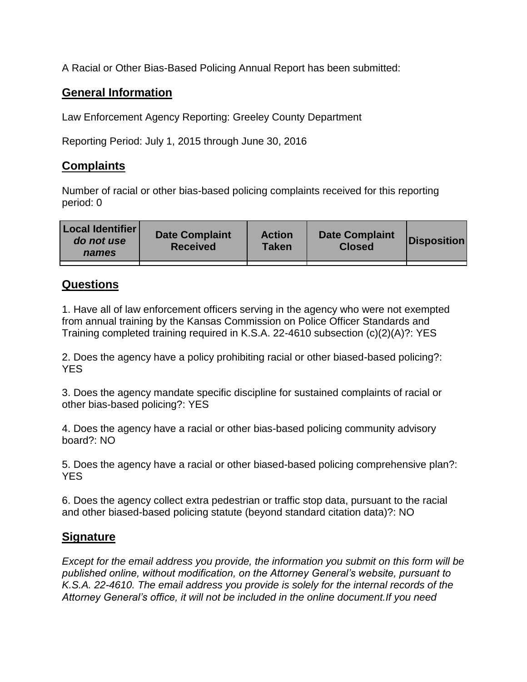A Racial or Other Bias-Based Policing Annual Report has been submitted:

## **General Information**

Law Enforcement Agency Reporting: Greeley County Department

Reporting Period: July 1, 2015 through June 30, 2016

## **Complaints**

Number of racial or other bias-based policing complaints received for this reporting period: 0

| <b>Local Identifier</b><br>do not use<br>names | <b>Date Complaint</b><br><b>Received</b> | <b>Action</b><br><b>Taken</b> | <b>Date Complaint</b><br><b>Closed</b> | Disposition |
|------------------------------------------------|------------------------------------------|-------------------------------|----------------------------------------|-------------|
|                                                |                                          |                               |                                        |             |

## **Questions**

1. Have all of law enforcement officers serving in the agency who were not exempted from annual training by the Kansas Commission on Police Officer Standards and Training completed training required in K.S.A. 22-4610 subsection (c)(2)(A)?: YES

2. Does the agency have a policy prohibiting racial or other biased-based policing?: YES

3. Does the agency mandate specific discipline for sustained complaints of racial or other bias-based policing?: YES

4. Does the agency have a racial or other bias-based policing community advisory board?: NO

5. Does the agency have a racial or other biased-based policing comprehensive plan?: YES

6. Does the agency collect extra pedestrian or traffic stop data, pursuant to the racial and other biased-based policing statute (beyond standard citation data)?: NO

## **Signature**

*Except for the email address you provide, the information you submit on this form will be published online, without modification, on the Attorney General's website, pursuant to K.S.A. 22-4610. The email address you provide is solely for the internal records of the Attorney General's office, it will not be included in the online document.If you need*